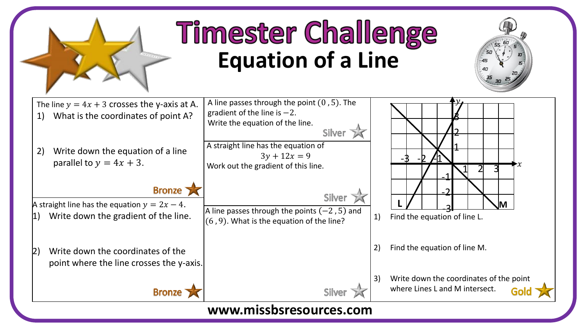

## **Timester Challenge Equation of a Line**